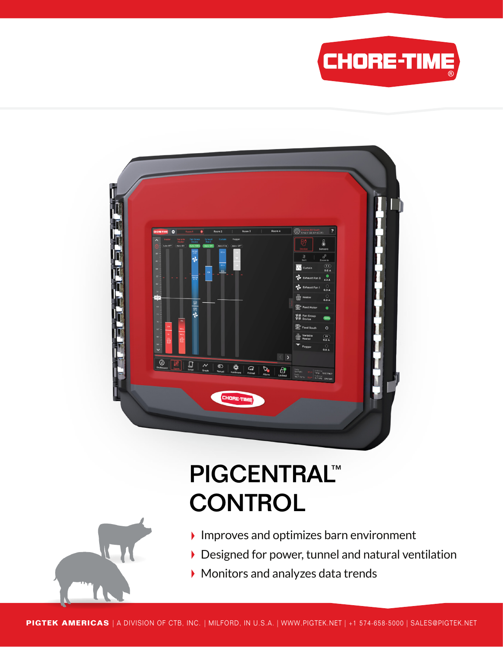



# PIGCENTRAL™ **CONTROL**



- $\blacktriangleright$  Improves and optimizes barn environment
- Designed for power, tunnel and natural ventilation
- Monitors and analyzes data trends